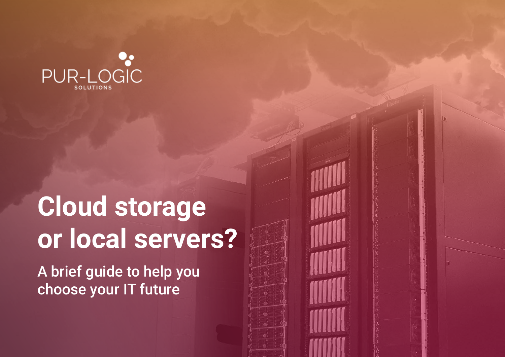

# **Cloud storage or local servers?**

A brief guide to help you choose your IT future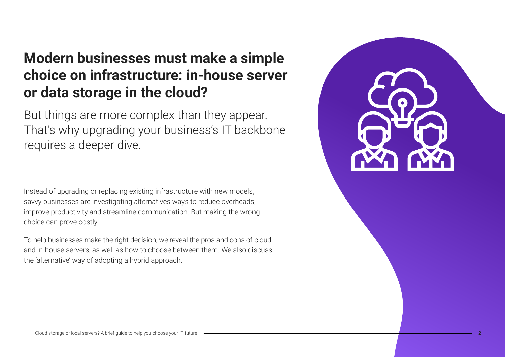## **Modern businesses must make a simple choice on infrastructure: in-house server or data storage in the cloud?**

But things are more complex than they appear. That's why upgrading your business's IT backbone requires a deeper dive.

Instead of upgrading or replacing existing infrastructure with new models, savvy businesses are investigating alternatives ways to reduce overheads, improve productivity and streamline communication. But making the wrong choice can prove costly.

To help businesses make the right decision, we reveal the pros and cons of cloud and in-house servers, as well as how to choose between them. We also discuss the 'alternative' way of adopting a hybrid approach.

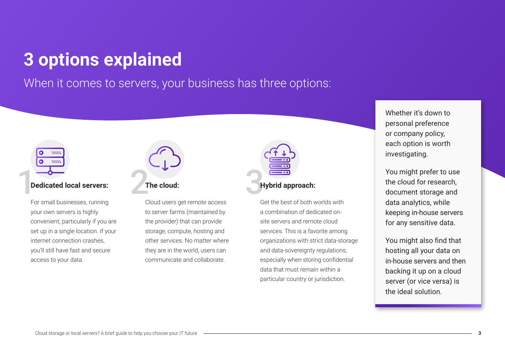## **3 options explained**

When it comes to servers, your business has three options:



For small businesses, running your own servers is highly convenient, particularly if you are set up in a single location. If your internet connection crashes, you'll still have fast and secure access to your data.



### **The cloud:**

Cloud users get remote access to server farms (maintained by the provider) that can provide storage, compute, hosting and other services. No matter where they are in the world, users can communicate and collaborate.



### **Hybrid approach:**

Get the best of both worlds with a combination of dedicated onsite servers and remote cloud services. This is a favorite among organizations with strict data-storage and data-sovereignty regulations, especially when storing confidential data that must remain within a particular country or jurisdiction.

Whether it's down to personal preference or company policy, each option is worth investigating.

You might prefer to use the cloud for research, document storage and data analytics, while keeping in-house servers for any sensitive data.

You might also find that hosting all your data on in-house servers and then backing it up on a cloud server (or vice versa) is the ideal solution.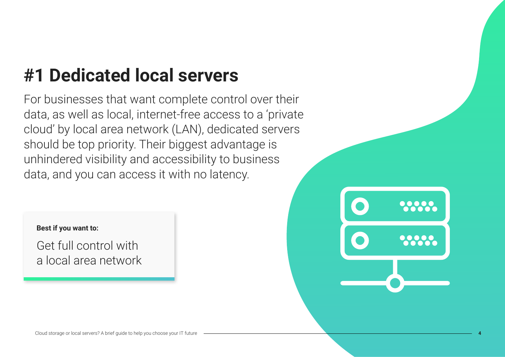## **#1 Dedicated local servers**

For businesses that want complete control over their data, as well as local, internet-free access to a 'private cloud' by local area network (LAN), dedicated servers should be top priority. Their biggest advantage is unhindered visibility and accessibility to business data, and you can access it with no latency.

### **Best if you want to:**

Get full control with a local area network

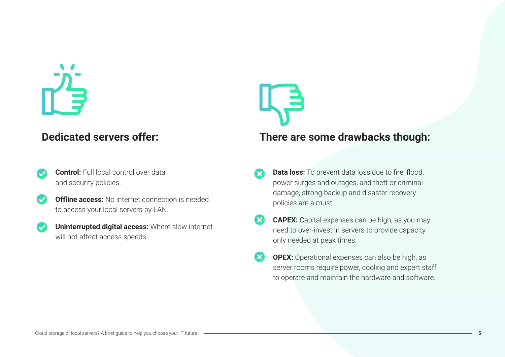- **Control:** Full local control over data and security policies.
- **Offline access:** No internet connection is needed to access your local servers by LAN.
- **Uninterrupted digital access:** Where slow internet will not affect access speeds.

### **Dedicated servers offer: There are some drawbacks though:**

- **Data loss:** To prevent data loss due to fire, flood, power surges and outages, and theft or criminal damage, strong backup and disaster recovery policies are a must.
- **CAPEX:** Capital expenses can be high, as you may need to over-invest in servers to provide capacity only needed at peak times.
- **OPEX:** Operational expenses can also be high, as server rooms require power, cooling and expert staff to operate and maintain the hardware and software.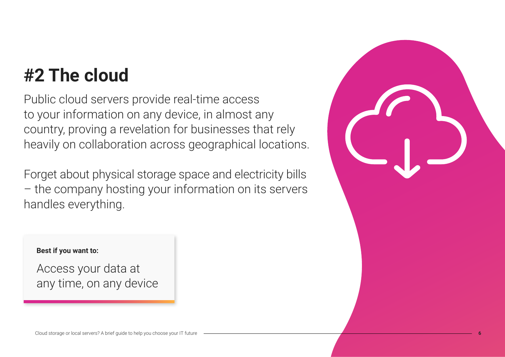## **#2 The cloud**

Public cloud servers provide real-time access to your information on any device, in almost any country, proving a revelation for businesses that rely heavily on collaboration across geographical locations.

Forget about physical storage space and electricity bills – the company hosting your information on its servers handles everything.



### **Best if you want to:**

Access your data at any time, on any device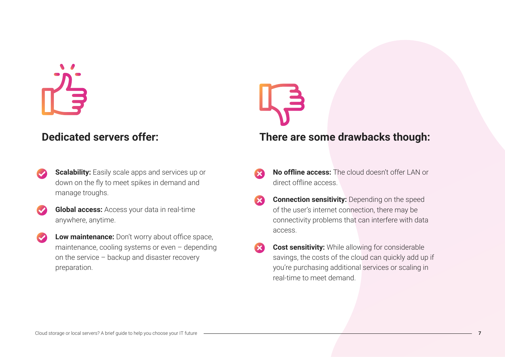- **Scalability:** Easily scale apps and services up or down on the fly to meet spikes in demand and manage troughs.
- **Global access:** Access your data in real-time anywhere, anytime.
- **Low maintenance:** Don't worry about office space, maintenance, cooling systems or even – depending on the service – backup and disaster recovery preparation.

### **Dedicated servers offer: There are some drawbacks though:**

- **No offline access:** The cloud doesn't offer LAN or direct offline access.
- **Connection sensitivity:** Depending on the speed of the user's internet connection, there may be connectivity problems that can interfere with data access.
- **Cost sensitivity:** While allowing for considerable savings, the costs of the cloud can quickly add up if you're purchasing additional services or scaling in real-time to meet demand.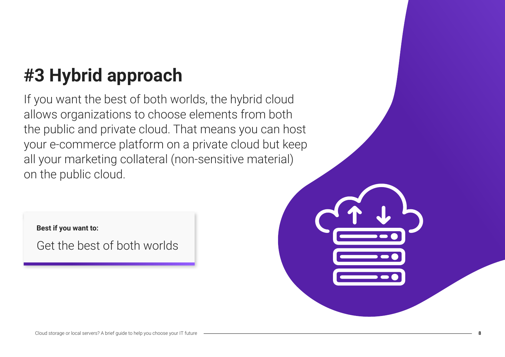## **#3 Hybrid approach**

If you want the best of both worlds, the hybrid cloud allows organizations to choose elements from both the public and private cloud. That means you can host your e-commerce platform on a private cloud but keep all your marketing collateral (non-sensitive material) on the public cloud.

**Best if you want to:**

Get the best of both worlds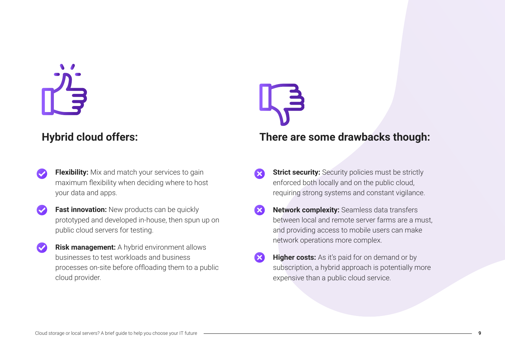- **Flexibility:** Mix and match your services to gain maximum flexibility when deciding where to host your data and apps.
- **Fast innovation:** New products can be quickly prototyped and developed in-house, then spun up on public cloud servers for testing.
- **Risk management:** A hybrid environment allows businesses to test workloads and business processes on-site before offloading them to a public cloud provider.

### **Hybrid cloud offers: There are some drawbacks though:**

- **Strict security:** Security policies must be strictly enforced both locally and on the public cloud, requiring strong systems and constant vigilance.
- **Network complexity:** Seamless data transfers between local and remote server farms are a must, and providing access to mobile users can make network operations more complex.
- **Higher costs:** As it's paid for on demand or by subscription, a hybrid approach is potentially more expensive than a public cloud service.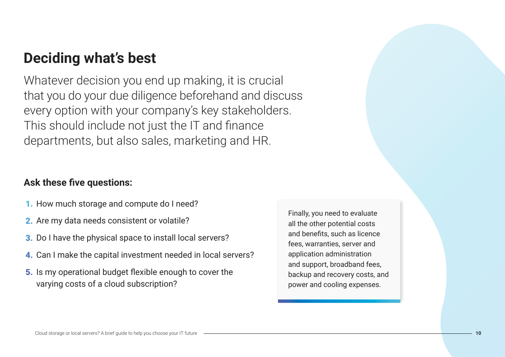## **Deciding what's best**

Whatever decision you end up making, it is crucial that you do your due diligence beforehand and discuss every option with your company's key stakeholders. This should include not just the IT and finance departments, but also sales, marketing and HR.

### **Ask these five questions:**

- 1. How much storage and compute do I need?
- 2. Are my data needs consistent or volatile?
- 3. Do I have the physical space to install local servers?
- 4. Can I make the capital investment needed in local servers?
- 5. Is my operational budget flexible enough to cover the varying costs of a cloud subscription?

Finally, you need to evaluate all the other potential costs and benefits, such as licence fees, warranties, server and application administration and support, broadband fees, backup and recovery costs, and power and cooling expenses.